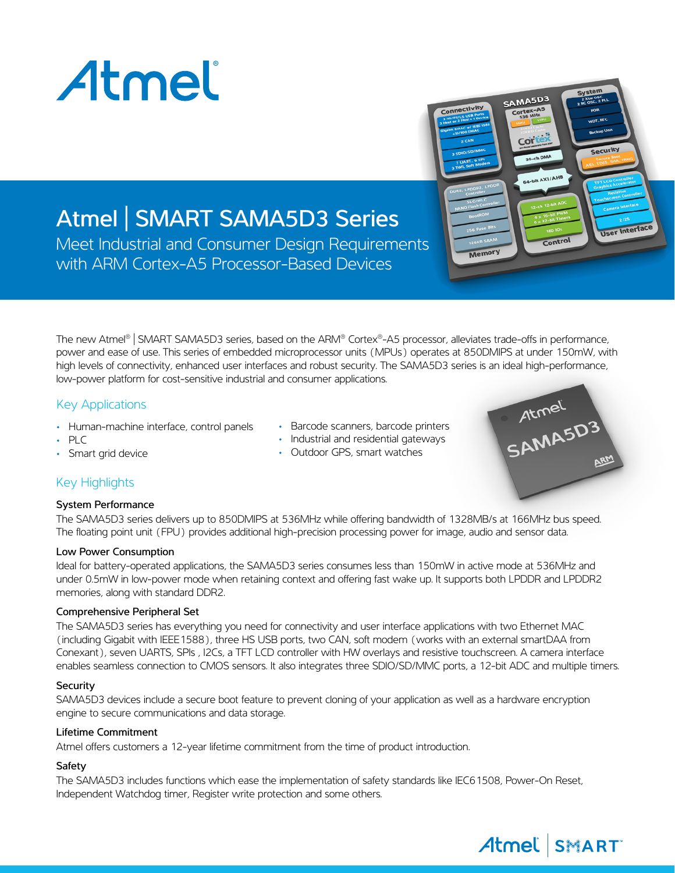

# Atmel | SMART SAMA5D3 Series

Meet Industrial and Consumer Design Requirements with ARM Cortex-A5 Processor-Based Devices

The new Atmel® | SMART SAMA5D3 series, based on the ARM® Cortex®-A5 processor, alleviates trade-offs in performance, power and ease of use. This series of embedded microprocessor units (MPUs) operates at 850DMIPS at under 150mW, with high levels of connectivity, enhanced user interfaces and robust security. The SAMA5D3 series is an ideal high-performance, low-power platform for cost-sensitive industrial and consumer applications.

#### Key Applications

- Human-machine interface, control panels
- PLC
- Smart grid device
- Barcode scanners, barcode printers
- Industrial and residential gateways
- Outdoor GPS, smart watches



Control

User Interface

SAMA5D3

Memory

## Key Highlights

#### System Performance

The SAMA5D3 series delivers up to 850DMIPS at 536MHz while offering bandwidth of 1328MB/s at 166MHz bus speed. The floating point unit (FPU) provides additional high-precision processing power for image, audio and sensor data.

#### Low Power Consumption

Ideal for battery-operated applications, the SAMA5D3 series consumes less than 150mW in active mode at 536MHz and under 0.5mW in low-power mode when retaining context and offering fast wake up. It supports both LPDDR and LPDDR2 memories, along with standard DDR2.

#### Comprehensive Peripheral Set

The SAMA5D3 series has everything you need for connectivity and user interface applications with two Ethernet MAC (including Gigabit with IEEE1588), three HS USB ports, two CAN, soft modem (works with an external smartDAA from Conexant), seven UARTS, SPIs , I2Cs, a TFT LCD controller with HW overlays and resistive touchscreen. A camera interface enables seamless connection to CMOS sensors. It also integrates three SDIO/SD/MMC ports, a 12-bit ADC and multiple timers.

#### **Security**

SAMA5D3 devices include a secure boot feature to prevent cloning of your application as well as a hardware encryption engine to secure communications and data storage.

#### Lifetime Commitment

Atmel offers customers a 12-year lifetime commitment from the time of product introduction.

#### Safety

The SAMA5D3 includes functions which ease the implementation of safety standards like IEC61508, Power-On Reset, Independent Watchdog timer, Register write protection and some others.